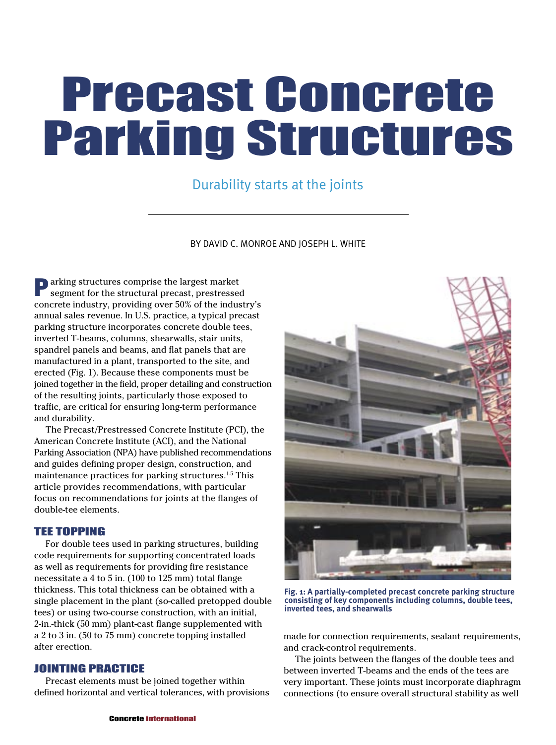# Precast Concrete Parking Structures

### Durability starts at the joints

BY DAVID C. MONROE AND JOSEPH L. WHITE

**Parking structures comprise the largest market** segment for the structural precast, prestressed concrete industry, providing over 50% of the industry's annual sales revenue. In U.S. practice, a typical precast parking structure incorporates concrete double tees, inverted T-beams, columns, shearwalls, stair units, spandrel panels and beams, and flat panels that are manufactured in a plant, transported to the site, and erected (Fig. 1). Because these components must be joined together in the field, proper detailing and construction of the resulting joints, particularly those exposed to traffic, are critical for ensuring long-term performance and durability.

The Precast/Prestressed Concrete Institute (PCI), the American Concrete Institute (ACI), and the National Parking Association (NPA) have published recommendations and guides defining proper design, construction, and maintenance practices for parking structures.<sup>1-5</sup> This article provides recommendations, with particular focus on recommendations for joints at the flanges of double-tee elements.

#### TEE TOPPING

For double tees used in parking structures, building code requirements for supporting concentrated loads as well as requirements for providing fire resistance necessitate a 4 to 5 in. (100 to 125 mm) total flange thickness. This total thickness can be obtained with a single placement in the plant (so-called pretopped double tees) or using two-course construction, with an initial, 2-in.-thick (50 mm) plant-cast flange supplemented with a 2 to 3 in. (50 to 75 mm) concrete topping installed after erection.

#### JOINTING PRACTICE

Precast elements must be joined together within defined horizontal and vertical tolerances, with provisions



**Fig. 1: A partially-completed precast concrete parking structure consisting of key components including columns, double tees, inverted tees, and shearwalls**

made for connection requirements, sealant requirements, and crack-control requirements.

The joints between the flanges of the double tees and between inverted T-beams and the ends of the tees are very important. These joints must incorporate diaphragm connections (to ensure overall structural stability as well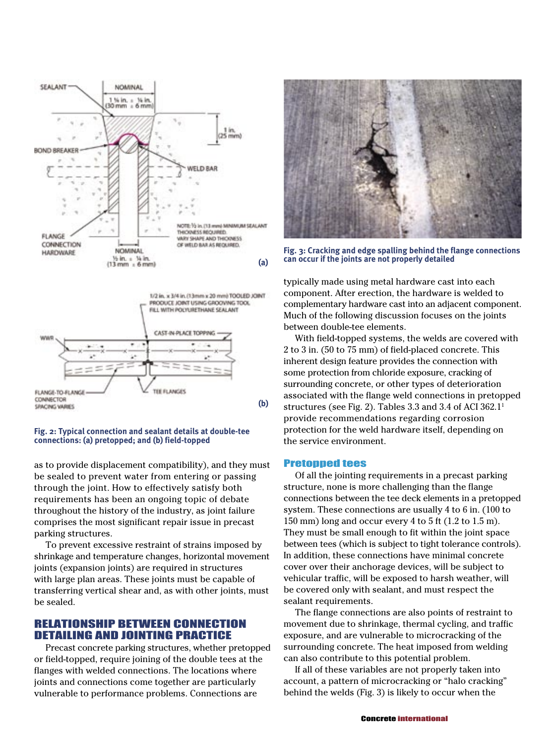

FLANGE-TO-FLANGE THE FLANCES CONNECTOR **(b)** SFACING VARIES

#### **Fig. 2: Typical connection and sealant details at double-tee connections: (a) pretopped; and (b) field-topped**

as to provide displacement compatibility), and they must be sealed to prevent water from entering or passing through the joint. How to effectively satisfy both requirements has been an ongoing topic of debate throughout the history of the industry, as joint failure comprises the most significant repair issue in precast parking structures.

To prevent excessive restraint of strains imposed by shrinkage and temperature changes, horizontal movement joints (expansion joints) are required in structures with large plan areas. These joints must be capable of transferring vertical shear and, as with other joints, must be sealed.

#### RELATIONSHIP BETWEEN CONNECTION DETAILING AND JOINTING PRACTICE

Precast concrete parking structures, whether pretopped or field-topped, require joining of the double tees at the flanges with welded connections. The locations where joints and connections come together are particularly vulnerable to performance problems. Connections are



**Fig. 3: Cracking and edge spalling behind the flange connections can occur if the joints are not properly detailed**

typically made using metal hardware cast into each component. After erection, the hardware is welded to complementary hardware cast into an adjacent component. Much of the following discussion focuses on the joints between double-tee elements.

With field-topped systems, the welds are covered with 2 to 3 in. (50 to 75 mm) of field-placed concrete. This inherent design feature provides the connection with some protection from chloride exposure, cracking of surrounding concrete, or other types of deterioration associated with the flange weld connections in pretopped structures (see Fig. 2). Tables 3.3 and 3.4 of ACI  $362.1^1$ provide recommendations regarding corrosion protection for the weld hardware itself, depending on the service environment.

#### Pretopped tees

Of all the jointing requirements in a precast parking structure, none is more challenging than the flange connections between the tee deck elements in a pretopped system. These connections are usually 4 to 6 in. (100 to 150 mm) long and occur every 4 to 5 ft (1.2 to 1.5 m). They must be small enough to fit within the joint space between tees (which is subject to tight tolerance controls). In addition, these connections have minimal concrete cover over their anchorage devices, will be subject to vehicular traffic, will be exposed to harsh weather, will be covered only with sealant, and must respect the sealant requirements.

The flange connections are also points of restraint to movement due to shrinkage, thermal cycling, and traffic exposure, and are vulnerable to microcracking of the surrounding concrete. The heat imposed from welding can also contribute to this potential problem.

If all of these variables are not properly taken into account, a pattern of microcracking or "halo cracking" behind the welds (Fig. 3) is likely to occur when the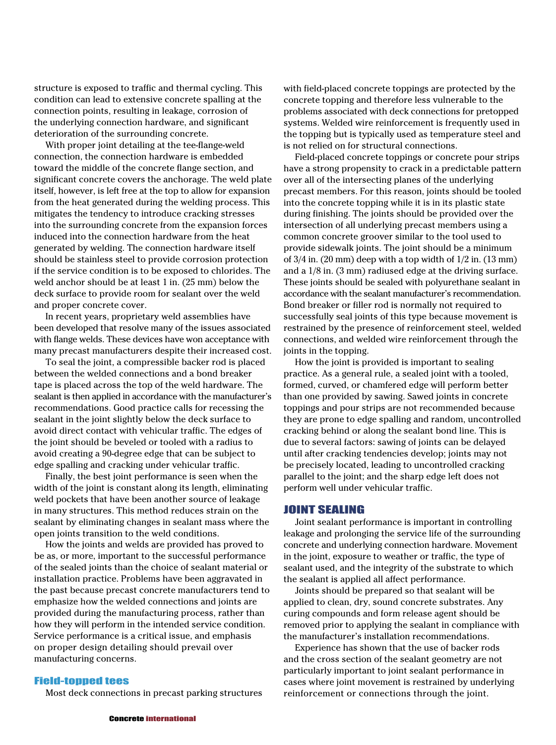structure is exposed to traffic and thermal cycling. This condition can lead to extensive concrete spalling at the connection points, resulting in leakage, corrosion of the underlying connection hardware, and significant deterioration of the surrounding concrete.

With proper joint detailing at the tee-flange-weld connection, the connection hardware is embedded toward the middle of the concrete flange section, and significant concrete covers the anchorage. The weld plate itself, however, is left free at the top to allow for expansion from the heat generated during the welding process. This mitigates the tendency to introduce cracking stresses into the surrounding concrete from the expansion forces induced into the connection hardware from the heat generated by welding. The connection hardware itself should be stainless steel to provide corrosion protection if the service condition is to be exposed to chlorides. The weld anchor should be at least 1 in. (25 mm) below the deck surface to provide room for sealant over the weld and proper concrete cover.

In recent years, proprietary weld assemblies have been developed that resolve many of the issues associated with flange welds. These devices have won acceptance with many precast manufacturers despite their increased cost.

To seal the joint, a compressible backer rod is placed between the welded connections and a bond breaker tape is placed across the top of the weld hardware. The sealant is then applied in accordance with the manufacturer's recommendations. Good practice calls for recessing the sealant in the joint slightly below the deck surface to avoid direct contact with vehicular traffic. The edges of the joint should be beveled or tooled with a radius to avoid creating a 90-degree edge that can be subject to edge spalling and cracking under vehicular traffic.

Finally, the best joint performance is seen when the width of the joint is constant along its length, eliminating weld pockets that have been another source of leakage in many structures. This method reduces strain on the sealant by eliminating changes in sealant mass where the open joints transition to the weld conditions.

How the joints and welds are provided has proved to be as, or more, important to the successful performance of the sealed joints than the choice of sealant material or installation practice. Problems have been aggravated in the past because precast concrete manufacturers tend to emphasize how the welded connections and joints are provided during the manufacturing process, rather than how they will perform in the intended service condition. Service performance is a critical issue, and emphasis on proper design detailing should prevail over manufacturing concerns.

#### Field-topped tees

Most deck connections in precast parking structures

with field-placed concrete toppings are protected by the concrete topping and therefore less vulnerable to the problems associated with deck connections for pretopped systems. Welded wire reinforcement is frequently used in the topping but is typically used as temperature steel and is not relied on for structural connections.

Field-placed concrete toppings or concrete pour strips have a strong propensity to crack in a predictable pattern over all of the intersecting planes of the underlying precast members. For this reason, joints should be tooled into the concrete topping while it is in its plastic state during finishing. The joints should be provided over the intersection of all underlying precast members using a common concrete groover similar to the tool used to provide sidewalk joints. The joint should be a minimum of  $3/4$  in. (20 mm) deep with a top width of  $1/2$  in. (13 mm) and a 1/8 in. (3 mm) radiused edge at the driving surface. These joints should be sealed with polyurethane sealant in accordance with the sealant manufacturer's recommendation. Bond breaker or filler rod is normally not required to successfully seal joints of this type because movement is restrained by the presence of reinforcement steel, welded connections, and welded wire reinforcement through the joints in the topping.

How the joint is provided is important to sealing practice. As a general rule, a sealed joint with a tooled, formed, curved, or chamfered edge will perform better than one provided by sawing. Sawed joints in concrete toppings and pour strips are not recommended because they are prone to edge spalling and random, uncontrolled cracking behind or along the sealant bond line. This is due to several factors: sawing of joints can be delayed until after cracking tendencies develop; joints may not be precisely located, leading to uncontrolled cracking parallel to the joint; and the sharp edge left does not perform well under vehicular traffic.

#### JOINT SEALING

Joint sealant performance is important in controlling leakage and prolonging the service life of the surrounding concrete and underlying connection hardware. Movement in the joint, exposure to weather or traffic, the type of sealant used, and the integrity of the substrate to which the sealant is applied all affect performance.

Joints should be prepared so that sealant will be applied to clean, dry, sound concrete substrates. Any curing compounds and form release agent should be removed prior to applying the sealant in compliance with the manufacturer's installation recommendations.

Experience has shown that the use of backer rods and the cross section of the sealant geometry are not particularly important to joint sealant performance in cases where joint movement is restrained by underlying reinforcement or connections through the joint.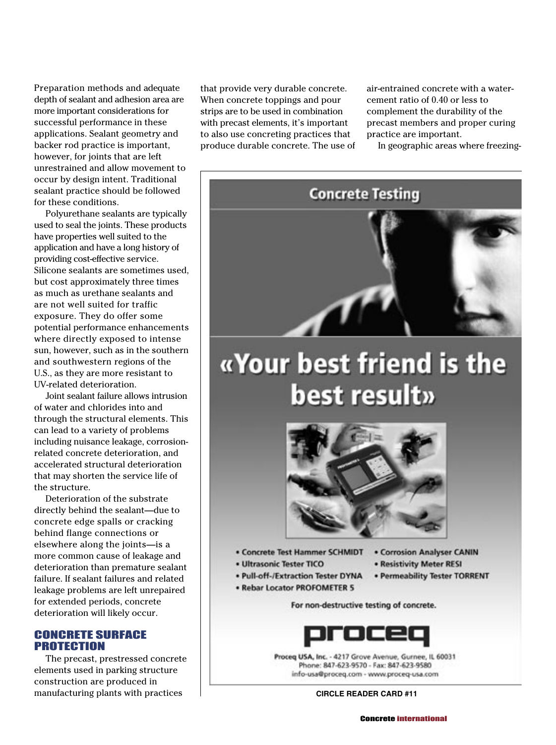Preparation methods and adequate depth of sealant and adhesion area are more important considerations for successful performance in these applications. Sealant geometry and backer rod practice is important, however, for joints that are left unrestrained and allow movement to occur by design intent. Traditional sealant practice should be followed for these conditions.

Polyurethane sealants are typically used to seal the joints. These products have properties well suited to the application and have a long history of providing cost-effective service. Silicone sealants are sometimes used, but cost approximately three times as much as urethane sealants and are not well suited for traffic exposure. They do offer some potential performance enhancements where directly exposed to intense sun, however, such as in the southern and southwestern regions of the U.S., as they are more resistant to UV-related deterioration.

Joint sealant failure allows intrusion of water and chlorides into and through the structural elements. This can lead to a variety of problems including nuisance leakage, corrosionrelated concrete deterioration, and accelerated structural deterioration that may shorten the service life of the structure.

Deterioration of the substrate directly behind the sealant—due to concrete edge spalls or cracking behind flange connections or elsewhere along the joints—is a more common cause of leakage and deterioration than premature sealant failure. If sealant failures and related leakage problems are left unrepaired for extended periods, concrete deterioration will likely occur.

CONCRETE SURFACE PROTECTION

The precast, prestressed concrete elements used in parking structure construction are produced in manufacturing plants with practices

that provide very durable concrete. When concrete toppings and pour strips are to be used in combination with precast elements, it's important to also use concreting practices that produce durable concrete. The use of air-entrained concrete with a watercement ratio of 0.40 or less to complement the durability of the precast members and proper curing practice are important.

In geographic areas where freezing-



## «Your best friend is the best result»



· Concrete Test Hammer SCHMIDT

· Ultrasonic Tester TICO

- Corrosion Analyser CANIN
- · Resistivity Meter RESI
	- · Permeability Tester TORRENT
- · Pull-off-/Extraction Tester DYNA · Rebar Locator PROFOMETER 5

For non-destructive testing of concrete.



Proceg USA, Inc. - 4217 Grove Avenue, Gurnee, IL 60031 Phone: 847-623-9570 - Fax: 847-623-9580 info-usa@proceq.com - www.proceq-usa.com

#### **CIRCLE READER CARD #11**

Concrete international